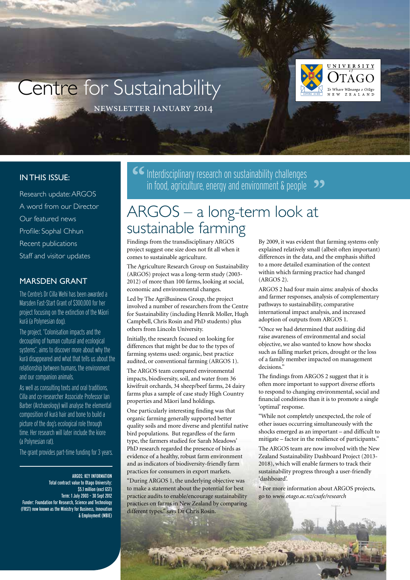# Centre for Sustainability



newsletter january 2014

#### **IN THIS ISSUE:**

Research update: ARGOS A word from our Director Our featured news Profile: Sophal Chhun Recent publications Staff and visitor updates

#### MARSDEN GRANT

The Centre's Dr Cilla Wehi has been awarded a Marsden Fast-Start Grant of \$300,000 for her project focusing on the extinction of the Māori .<br>kurā (a Polynesian dog).

The project, "Colonisation impacts and the decoupling of human cultural and ecological systems", aims to discover more about why the .<br>kurā disappeared and what that tells us about the relationship between humans, the environment and our companion animals.

As well as consulting texts and oral traditions, Cilla and co-researcher Associate Professor Ian Barber (Archaeology) will analyse the elemental composition of kura hair and bone to build a picture of the dog's ecological role through time. Her research will later include the kiore (a Polynesian rat).

The grant provides part-time funding for 3 years.

ARGOS: KEY INFORMATION Total contract value to Otago University: \$5.1 million (excl GST) Term: 1 July 2003 – 30 Sept 2012 Funder: Foundation for Research, Science and Technology (FRST) now known as the Ministry for Business, Innovation & Employment (MBIE)  **Interdisciplinary research on sustainability challenges** in food, agriculture, energy and environment  $\&$  people  $\bullet$ 

#### ARGOS – a long-term look at sustainable farming

Findings from the transdisciplinary ARGOS project suggest one size does not fit all when it comes to sustainable agriculture.

The Agriculture Research Group on Sustainability (ARGOS) project was a long-term study (2003- 2012) of more than 100 farms, looking at social, economic and environmental changes.

Led by The AgriBusiness Group, the project involved a number of researchers from the Centre for Sustainability (including Henrik Moller, Hugh Campbell, Chris Rosin and PhD students) plus others from Lincoln University.

Initially, the research focused on looking for differences that might be due to the types of farming systems used: organic, best practice audited, or conventional farming (ARGOS 1).

The ARGOS team compared environmental impacts, biodiversity, soil, and water from 36 kiwifruit orchards, 34 sheep/beef farms, 24 dairy farms plus a sample of case study High Country properties and Mäori land holdings.

One particularly interesting finding was that organic farming generally supported better quality soils and more diverse and plentiful native bird populations. But regardless of the farm type, the farmers studied for Sarah Meadows' PhD research regarded the presence of birds as evidence of a healthy, robust farm environment and as indicators of biodiversity-friendly farm practices for consumers in export markets.

"During ARGOS 1, the underlying objective was to make a statement about the potential for best practice audits to enable/encourage sustainability practices on farms in New Zealand by comparing different types," says Dr Chris Rosin.

By 2009, it was evident that farming systems only explained relatively small (albeit often important) differences in the data, and the emphasis shifted to a more detailed examination of the context within which farming practice had changed (ARGOS 2).

ARGOS 2 had four main aims: analysis of shocks and farmer responses, analysis of complementary pathways to sustainability, comparative international impact analysis, and increased adoption of outputs from ARGOS 1.

"Once we had determined that auditing did raise awareness of environmental and social objective, we also wanted to know how shocks such as falling market prices, drought or the loss of a family member impacted on management decisions."

The findings from ARGOS 2 suggest that it is often more important to support diverse efforts to respond to changing environmental, social and financial conditions than it is to promote a single 'optimal' response.

"While not completely unexpected, the role of other issues occurring simultaneously with the shocks emerged as an important – and difficult to mitigate – factor in the resilience of participants."

The ARGOS team are now involved with the New Zealand Sustainability Dashboard Project (2013- 2018), which will enable farmers to track their sustainability progress through a user-friendly 'dashboard'.

\* For more information about ARGOS projects, go to *www.otago.ac.nz/csafe/research*

**ALL ADILIAN**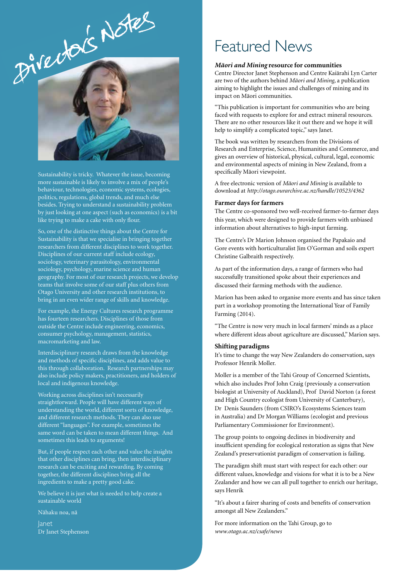

Sustainability is tricky. Whatever the issue, becoming more sustainable is likely to involve a mix of people's behaviour, technologies, economic systems, ecologies, politics, regulations, global trends, and much else besides. Trying to understand a sustainability problem by just looking at one aspect (such as economics) is a bit like trying to make a cake with only flour.

So, one of the distinctive things about the Centre for Sustainability is that we specialise in bringing together researchers from different disciplines to work together. Disciplines of our current staff include ecology, sociology, veterinary parasitology, environmental sociology, psychology, marine science and human geography. For most of our research projects, we develop teams that involve some of our staff plus others from Otago University and other research institutions, to bring in an even wider range of skills and knowledge.

For example, the Energy Cultures research programme has fourteen researchers. Disciplines of those from outside the Centre include engineering, economics, consumer psychology, management, statistics, macromarketing and law.

Interdisciplinary research draws from the knowledge and methods of specific disciplines, and adds value to this through collaboration. Research partnerships may also include policy makers, practitioners, and holders of local and indigenous knowledge.

Working across disciplines isn't necessarily straightforward. People will have different ways of understanding the world, different sorts of knowledge, and different research methods. They can also use different "languages". For example, sometimes the same word can be taken to mean different things. And sometimes this leads to arguments!

But, if people respect each other and value the insights that other disciplines can bring, then interdisciplinary research can be exciting and rewarding. By coming together, the different disciplines bring all the ingredients to make a pretty good cake.

We believe it is just what is needed to help create a sustainable world

Nähaku noa, nä

Janet Dr Janet Stephenson

### Featured News

#### *Mäori and Mining* **resource for communities**

Centre Director Janet Stephenson and Centre Kaiärahi Lyn Carter are two of the authors behind *Mäori and Mining*, a publication aiming to highlight the issues and challenges of mining and its impact on Mäori communities.

"This publication is important for communities who are being faced with requests to explore for and extract mineral resources. There are no other resources like it out there and we hope it will help to simplify a complicated topic," says Janet.

The book was written by researchers from the Divisions of Research and Enterprise, Science, Humanities and Commerce, and gives an overview of historical, physical, cultural, legal, economic and environmental aspects of mining in New Zealand, from a specifically Mäori viewpoint.

A free electronic version of *Mäori and Mining* is available to download at *http://otago.ourarchive.ac.nz/handle/10523/4362*

#### **Farmer days for farmers**

The Centre co-sponsored two well-received farmer-to-farmer days this year, which were designed to provide farmers with unbiased information about alternatives to high-input farming.

The Centre's Dr Marion Johnson organised the Papakaio and Gore events with horticulturalist Jim O'Gorman and soils expert Christine Galbraith respectively.

As part of the information days, a range of farmers who had successfully transitioned spoke about their experiences and discussed their farming methods with the audience.

Marion has been asked to organise more events and has since taken part in a workshop promoting the International Year of Family Farming (2014).

"The Centre is now very much in local farmers' minds as a place where different ideas about agriculture are discussed," Marion says.

#### **Shifting paradigms**

It's time to change the way New Zealanders do conservation, says Professor Henrik Moller.

Moller is a member of the Tahi Group of Concerned Scientists, which also includes Prof John Craig (previously a conservation biologist at University of Auckland), Prof David Norton (a forest and High Country ecologist from University of Canterbury), Dr Denis Saunders (from CSIRO's Ecosystems Sciences team in Australia) and Dr Morgan Williams (ecologist and previous Parliamentary Commissioner for Environment).

The group points to ongoing declines in biodiversity and insufficient spending for ecological restoration as signs that New Zealand's preservationist paradigm of conservation is failing.

The paradigm shift must start with respect for each other: our different values, knowledge and visions for what it is to be a New Zealander and how we can all pull together to enrich our heritage, says Henrik

"It's about a fairer sharing of costs and benefits of conservation amongst all New Zealanders."

For more information on the Tahi Group, go to *www.otago.ac.nz/csafe/news*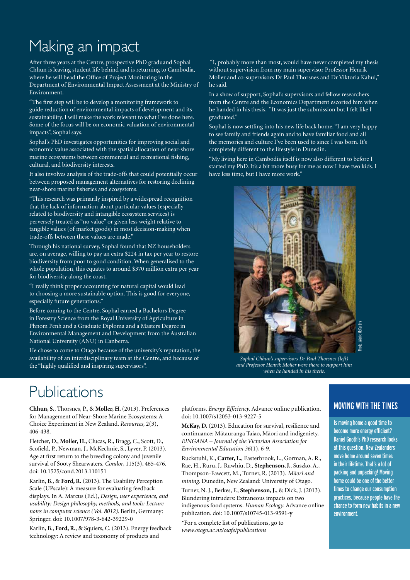## Making an impact

After three years at the Centre, prospective PhD graduand Sophal Chhun is leaving student life behind and is returning to Cambodia, where he will head the Office of Project Monitoring in the Department of Environmental Impact Assessment at the Ministry of Environment.

"The first step will be to develop a monitoring framework to guide reduction of environmental impacts of development and its sustainability. I will make the work relevant to what I've done here. Some of the focus will be on economic valuation of environmental impacts", Sophal says.

Sophal's PhD investigates opportunities for improving social and economic value associated with the spatial allocation of near-shore marine ecosystems between commercial and recreational fishing, cultural, and biodiversity interests.

It also involves analysis of the trade-offs that could potentially occur between proposed management alternatives for restoring declining near-shore marine fisheries and ecosystems.

"This research was primarily inspired by a widespread recognition that the lack of information about particular values (especially related to biodiversity and intangible ecosystem services) is perversely treated as "no value" or given less weight relative to tangible values (of market goods) in most decision-making when trade-offs between these values are made."

Through his national survey, Sophal found that NZ householders are, on average, willing to pay an extra \$224 in tax per year to restore biodiversity from poor to good condition. When generalised to the whole population, this equates to around \$370 million extra per year for biodiversity along the coast.

"I really think proper accounting for natural capital would lead to choosing a more sustainable option. This is good for everyone, especially future generations."

Before coming to the Centre, Sophal earned a Bachelors Degree in Forestry Science from the Royal University of Agriculture in Phnom Penh and a Graduate Diploma and a Masters Degree in Environmental Management and Development from the Australian National University (ANU) in Canberra.

He chose to come to Otago because of the university's reputation, the availability of an interdisciplinary team at the Centre, and because of the "highly qualified and inspiring supervisors".

 "I, probably more than most, would have never completed my thesis without supervision from my main supervisor Professor Henrik Moller and co-supervisors Dr Paul Thorsnes and Dr Viktoria Kahui," he said.

In a show of support, Sophal's supervisors and fellow researchers from the Centre and the Economics Department escorted him when he handed in his thesis. "It was just the submission but I felt like I graduated."

Sophal is now settling into his new life back home. "I am very happy to see family and friends again and to have familiar food and all the memories and culture I've been used to since I was born. It's completely different to the lifestyle in Dunedin.

"My living here in Cambodia itself is now also different to before I started my PhD. It's a bit more busy for me as now I have two kids. I have less time, but I have more work.'



*Sophal Chhun's supervisors Dr Paul Thorsnes (left) and Professor Henrik Moller were there to support him when he handed in his thesis.*

### Publications

**Chhun, S.**, Thorsnes, P., & **Moller, H.** (2013). Preferences for Management of Near-Shore Marine Ecosystems: A Choice Experiment in New Zealand. *Resources,* 2(3), 406-438.

Fletcher, D., **Moller, H.**, Clucas, R., Bragg, C., Scott, D., Scofield, P., Newman, J., McKechnie, S., Lyver, P. (2013). Age at first return to the breeding colony and juvenile survival of Sooty Shearwaters. *Condor*, 115(3), 465-476. doi: 10.1525/cond.2013.110151

Karlin, B., & **Ford, R.** (2013). The Usability Perception Scale (UPscale): A measure for evaluating feedback displays. In A. Marcus (Ed.), *Design, user experience, and usability: Design philosophy, methods, and tools: Lecture notes in computer science (Vol. 8012)*. Berlin, Germany: Springer. doi: 10.1007/978-3-642-39229-0

Karlin, B., **Ford, R.**, & Squiers, C. (2013). Energy feedback technology: A review and taxonomy of products and

platforms. *Energy Efficiency.* Advance online publication. doi: 10.1007/s12053-013-9227-5

**McKay, D.** (2013). Education for survival, resilience and continuance: Mätauranga Taiao, Mäori and indigeniety. *EINGANA – Journal of the Victorian Association for Environmental Education 36*(1), 6-9.

Ruckstuhl, K., **Carter, L.**, Easterbrook, L., Gorman, A. R., Rae, H., Ruru, J., Ruwhiu, D., **Stephenson, J.**, Suszko, A., Thompson-Fawcett, M., Turner, R. (2013). *Mäori and mining.* Dunedin, New Zealand: University of Otago.

Turner, N. J., Berkes, F., **Stephenson, J.**, & Dick, J. (2013). Blundering intruders: Extraneous impacts on two indigenous food systems. *Human Ecology*. Advance online publication. doi: 10.1007/s10745-013-9591-**y**

\*For a complete list of publications, go to *www.otago.ac.nz/csafe/publications*

#### MOVING WITH THE TIMES

Is moving home a good time to become more energy efficient? Daniel Gnoth's PhD research looks at this question. New Zealanders move home around seven times in their lifetime. That's a lot of packing and unpacking! Moving home could be one of the better times to change our consumption practices, because people have the chance to form new habits in a new environment.